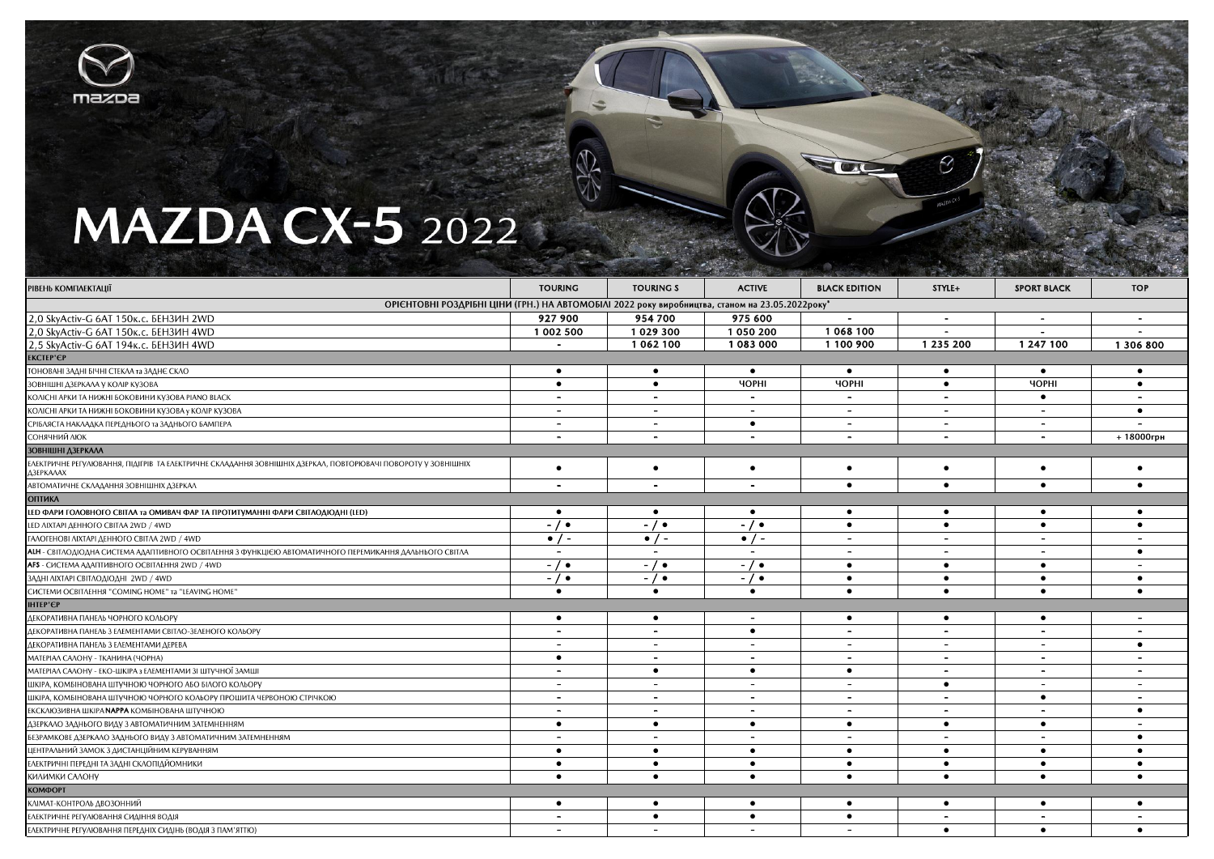

## **MAZDA CX-5** 2022

|                                                                                                                                  | <b>CAST</b>              | $1.5 - 1.05$             | The company of the company of the company of the company of the company of the company of the company of the company of |                          | <b>The Man of Schools Republic Republic</b> |                          | $\alpha$ . The second contribution of $\alpha$ is the second contribution of $\alpha$ |  |  |
|----------------------------------------------------------------------------------------------------------------------------------|--------------------------|--------------------------|-------------------------------------------------------------------------------------------------------------------------|--------------------------|---------------------------------------------|--------------------------|---------------------------------------------------------------------------------------|--|--|
| <b>РІВЕНЬ КОМПЛЕКТАЦІЇ</b>                                                                                                       | <b>TOURING</b>           | <b>TOURING S</b>         | <b>ACTIVE</b>                                                                                                           | <b>BLACK EDITION</b>     | STYLE+                                      | <b>SPORT BLACK</b>       | <b>TOP</b>                                                                            |  |  |
| ОРІЄНТОВНІ РОЗДРІБНІ ЦІНИ (ГРН.) НА АВТОМОБІЛІ 2022 року виробництва, станом на 23.05.2022 року*                                 |                          |                          |                                                                                                                         |                          |                                             |                          |                                                                                       |  |  |
| 2,0 SkyActiv-G 6AT 150к.c. БЕНЗИН 2WD                                                                                            | 927 900                  | 954 700                  | 975 600                                                                                                                 |                          | $\sim$                                      | $\blacksquare$           | $\sim$                                                                                |  |  |
| 2,0 SkyActiv-G 6AT 150к.c. БЕНЗИН 4WD                                                                                            | 1 002 500                | 1029300                  | 1 050 200                                                                                                               | 1068100                  |                                             |                          |                                                                                       |  |  |
| 2,5 SkyActiv-G 6AT 194k.c. БЕНЗИН 4WD                                                                                            |                          | 1062100                  | 1083000                                                                                                                 | 1 100 900                | 1 235 200                                   | 1 247 100                | 1 306 800                                                                             |  |  |
| <b>EKCTEP'EP</b>                                                                                                                 |                          |                          |                                                                                                                         |                          |                                             |                          |                                                                                       |  |  |
| ТОНОВАНІ ЗАДНІ БІЧНІ СТЕКЛА та ЗАДНЄ СКЛО                                                                                        | $\bullet$                | $\bullet$                | $\bullet$                                                                                                               | $\bullet$                | $\bullet$                                   | $\bullet$                | $\bullet$                                                                             |  |  |
| ЗОВНІШНІ ДЗЕРКАЛА У КОЛІР КУЗОВА                                                                                                 | $\bullet$                | $\bullet$                | <b>YOPHI</b>                                                                                                            | <b>YOPHI</b>             | $\bullet$                                   | <b>YOPHI</b>             | $\bullet$                                                                             |  |  |
| КОЛІСНІ АРКИ ТА НИЖНІ БОКОВИНИ КУЗОВА РІАНО ВІАСК                                                                                | $\overline{\phantom{0}}$ |                          |                                                                                                                         | $\sim$                   |                                             | $\bullet$                |                                                                                       |  |  |
| КОЛІСНІ АРКИ ТА НИЖНІ БОКОВИНИ КУЗОВА у КОЛІР КУЗОВА                                                                             | $\overline{\phantom{a}}$ | $\overline{\phantom{a}}$ | $\sim$                                                                                                                  | $\sim$                   | $\overline{\phantom{a}}$                    | $\overline{\phantom{a}}$ | $\bullet$                                                                             |  |  |
| СРІБЛЯСТА НАКЛАДКА ПЕРЕДНЬОГО та ЗАДНЬОГО БАМПЕРА                                                                                | $\overline{\phantom{0}}$ | . .                      | $\bullet$                                                                                                               | $\overline{\phantom{0}}$ | $\overline{\phantom{a}}$                    | $\overline{\phantom{0}}$ |                                                                                       |  |  |
| СОНЯЧНИЙ ЛЮК                                                                                                                     | $\overline{\phantom{0}}$ | $\overline{\phantom{a}}$ | $\overline{\phantom{a}}$                                                                                                | $\overline{\phantom{0}}$ | $\overline{\phantom{a}}$                    | $\overline{\phantom{a}}$ | $+18000$ грн                                                                          |  |  |
| ЗОВНІШНІ ДЗЕРКАЛА                                                                                                                |                          |                          |                                                                                                                         |                          |                                             |                          |                                                                                       |  |  |
| ЕЛЕКТРИЧНЕ РЕГУЛЮВАННЯ, ПІДІГРІВ ТА ЕЛЕКТРИЧНЕ СКЛАДАННЯ ЗОВНІШНІХ ДЗЕРКАЛ, ПОВТОРЮВАЧІ ПОВОРОТУ У ЗОВНІШНІХ<br><b>Δ3ΕΡΚΑΛΑΧ</b> | $\bullet$                | $\bullet$                | $\bullet$                                                                                                               | $\bullet$                | $\bullet$                                   | $\bullet$                | $\bullet$                                                                             |  |  |
| АВТОМАТИЧНЕ СКЛАДАННЯ ЗОВНІШНІХ ДЗЕРКАЛ                                                                                          | $\overline{\phantom{a}}$ | $\overline{\phantom{a}}$ | $\sim$                                                                                                                  | $\bullet$                | $\bullet$                                   | $\bullet$                | $\bullet$                                                                             |  |  |
| <b>ОПТИКА</b>                                                                                                                    |                          |                          |                                                                                                                         |                          |                                             |                          |                                                                                       |  |  |
| LED ФАРИ ГОЛОВНОГО СВІТЛА та ОМИВАЧ ФАР ТА ПРОТИТУМАННІ ФАРИ СВІТЛОДІОДНІ (LED)                                                  | $\bullet$                | $\bullet$                | $\bullet$                                                                                                               | $\bullet$                | $\bullet$                                   | $\bullet$                | $\bullet$                                                                             |  |  |
| LED AIXTAPI AEHHOFO CBITAA 2WD / 4WD                                                                                             | -1.                      | -1.                      | -10                                                                                                                     | $\bullet$                | $\bullet$                                   | $\bullet$                | $\bullet$                                                                             |  |  |
| <b>ΓΑΛΟΓΕΗΟΒΙ ΛΙΧΤΑΡΙ ΔΕΗΗΟΓΟ CBITΛΑ 2WD / 4WD</b>                                                                               | $\bullet$ / -            | $\bullet$ / -            | $\bullet$ / -                                                                                                           | $\,$ $\,$                | $\overline{\phantom{a}}$                    | $\overline{\phantom{a}}$ |                                                                                       |  |  |
| АЦИ - СВІТЛОДІОДНА СИСТЕМА АДАПТИВНОГО ОСВІТЛЕННЯ З ФУНКЦІЄЮ АВТОМАТИЧНОГО ПЕРЕМИКАННЯ ДАЛЬНЬОГО СВІТЛА                          | $\overline{\phantom{a}}$ | $\sim$                   | $\sim$                                                                                                                  | $\sim$                   | $\overline{\phantom{0}}$                    | $\overline{\phantom{0}}$ | $\bullet$                                                                             |  |  |
| AFS - СИСТЕМА АДАПТИВНОГО ОСВІТЛЕННЯ 2WD / 4WD                                                                                   | -70                      | - / ●                    | $-1$ $\bullet$                                                                                                          | $\bullet$                | $\bullet$                                   | $\bullet$                |                                                                                       |  |  |
| ЗАДНІ ЛІХТАРІ СВІТЛОДІОДНІ 2WD / 4WD                                                                                             | $-$ / $\bullet$          | $-1$ $\bullet$           | $-1$ $\bullet$                                                                                                          | $\bullet$                | $\bullet$                                   | $\bullet$                | $\bullet$                                                                             |  |  |
| CUCTEMU OCBITAEHHA "COMING HOME" TA "LEAVING HOME"                                                                               | $\bullet$                | $\bullet$                | $\bullet$                                                                                                               | $\bullet$                | $\bullet$                                   | $\bullet$                | $\bullet$                                                                             |  |  |
| <b>IHTEP'∈P</b>                                                                                                                  |                          |                          |                                                                                                                         |                          |                                             |                          |                                                                                       |  |  |
| ДЕКОРАТИВНА ПАНЕЛЬ ЧОРНОГО КОЛЬОРУ                                                                                               | $\bullet$                | $\bullet$                | $\sim$                                                                                                                  | $\bullet$                | $\bullet$                                   | $\bullet$                |                                                                                       |  |  |
| ДЕКОРАТИВНА ПАНЕЛЬ З ЕЛЕМЕНТАМИ СВІТЛО-ЗЕЛЕНОГО КОЛЬОРУ                                                                          | $\blacksquare$           | $\overline{\phantom{a}}$ | $\bullet$                                                                                                               | $\blacksquare$           | $\overline{\phantom{a}}$                    | $\overline{\phantom{0}}$ | $\overline{\phantom{0}}$                                                              |  |  |
| ДЕКОРАТИВНА ПАНЕЛЬ З ЕЛЕМЕНТАМИ ДЕРЕВА                                                                                           | $\overline{\phantom{a}}$ | $\overline{\phantom{a}}$ | $\sim$                                                                                                                  | $\sim$                   | $\overline{\phantom{a}}$                    | $\overline{\phantom{a}}$ | $\bullet$                                                                             |  |  |
| МАТЕРІАЛ САЛОНУ - ТКАНИНА (ЧОРНА)                                                                                                | $\bullet$                | $\overline{\phantom{0}}$ |                                                                                                                         |                          |                                             |                          | $\overline{\phantom{0}}$                                                              |  |  |
| МАТЕРІАЛ САЛОНУ - ЕКО-ШКІРА з ЕЛЕМЕНТАМИ ЗІ ШТУЧНОЇ ЗАМШІ                                                                        | $\overline{a}$           | $\bullet$                | $\bullet$                                                                                                               | $\bullet$                |                                             | $\overline{\phantom{a}}$ | $\overline{\phantom{0}}$                                                              |  |  |
| ШКІРА, КОМБІНОВАНА ШТУЧНОЮ ЧОРНОГО АБО БІЛОГО КОЛЬОРУ                                                                            | $\overline{\phantom{a}}$ | $\overline{\phantom{a}}$ | $\sim$                                                                                                                  | $\blacksquare$           | $\bullet$                                   | $\overline{\phantom{a}}$ | $\overline{\phantom{a}}$                                                              |  |  |
| ШКІРА, КОМБІНОВАНА ШТУЧНОЮ ЧОРНОГО КОЛЬОРУ ПРОШИТА ЧЕРВОНОЮ СТРІЧКОЮ                                                             | $\overline{\phantom{a}}$ | $\overline{\phantom{0}}$ | $\overline{\phantom{0}}$                                                                                                |                          | $\blacksquare$                              | $\bullet$                |                                                                                       |  |  |
| ЕКСКЛЮЗИВНА ШКІРА <b>NAPPA</b> КОМБІНОВАНА ШТУЧНОЮ                                                                               | $\overline{\phantom{0}}$ | $\overline{\phantom{a}}$ |                                                                                                                         |                          |                                             | $\overline{\phantom{0}}$ | $\bullet$                                                                             |  |  |
| ДЗЕРКАЛО ЗАДНЬОГО ВИДУ З АВТОМАТИЧНИМ ЗАТЕМНЕННЯМ                                                                                | $\bullet$                | $\bullet$                | $\bullet$                                                                                                               | $\bullet$                | $\bullet$                                   | $\bullet$                | $\overline{\phantom{a}}$                                                              |  |  |
| БЕЗРАМКОВЕ ДЗЕРКАЛО ЗАДНЬОГО ВИДУ З АВТОМАТИЧНИМ ЗАТЕМНЕННЯМ                                                                     | $\overline{\phantom{a}}$ | $\overline{\phantom{a}}$ |                                                                                                                         | $\overline{\phantom{a}}$ | $\overline{\phantom{a}}$                    | $\overline{\phantom{a}}$ | $\bullet$                                                                             |  |  |
| ЦЕНТРАЛЬНИЙ ЗАМОК З ДИСТАНЦІЙНИМ КЕРУВАННЯМ                                                                                      | $\bullet$                | $\bullet$                | $\bullet$                                                                                                               | $\bullet$                | $\bullet$                                   | $\bullet$                | $\bullet$                                                                             |  |  |
| ЕЛЕКТРИЧНІ ПЕРЕДНІ ТА ЗАДНІ СКЛОПІДЙОМНИКИ                                                                                       | $\bullet$                | $\bullet$                | $\bullet$                                                                                                               | $\bullet$                | $\bullet$                                   | $\bullet$                | $\bullet$                                                                             |  |  |
| КИЛИМКИ САЛОНУ                                                                                                                   | $\bullet$                | $\bullet$                | $\bullet$                                                                                                               | $\bullet$                | $\bullet$                                   | $\bullet$                | $\bullet$                                                                             |  |  |
| <b>КОМФОРТ</b>                                                                                                                   |                          |                          |                                                                                                                         |                          |                                             |                          |                                                                                       |  |  |
| КЛІМАТ-КОНТРОЛЬ ДВОЗОННИЙ                                                                                                        | $\bullet$                | $\bullet$                | $\bullet$                                                                                                               | $\bullet$                | $\bullet$                                   | $\bullet$                | $\bullet$                                                                             |  |  |
| ЕЛЕКТРИЧНЕ РЕГУЛЮВАННЯ СИДІННЯ ВОДІЯ                                                                                             | $\overline{a}$           | $\bullet$                | $\bullet$                                                                                                               | $\bullet$                |                                             |                          | $\overline{\phantom{0}}$                                                              |  |  |
| ЕЛЕКТРИЧНЕ РЕГУЛЮВАННЯ ПЕРЕДНІХ СИДІНЬ (ВОДІЯ З ПАМ'ЯТТЮ)                                                                        | $\overline{\phantom{a}}$ | $\overline{\phantom{a}}$ | $\sim$                                                                                                                  | $\overline{\phantom{a}}$ | $\bullet$                                   | $\bullet$                | $\bullet$                                                                             |  |  |
|                                                                                                                                  |                          |                          |                                                                                                                         |                          |                                             |                          |                                                                                       |  |  |

**STORY** 

R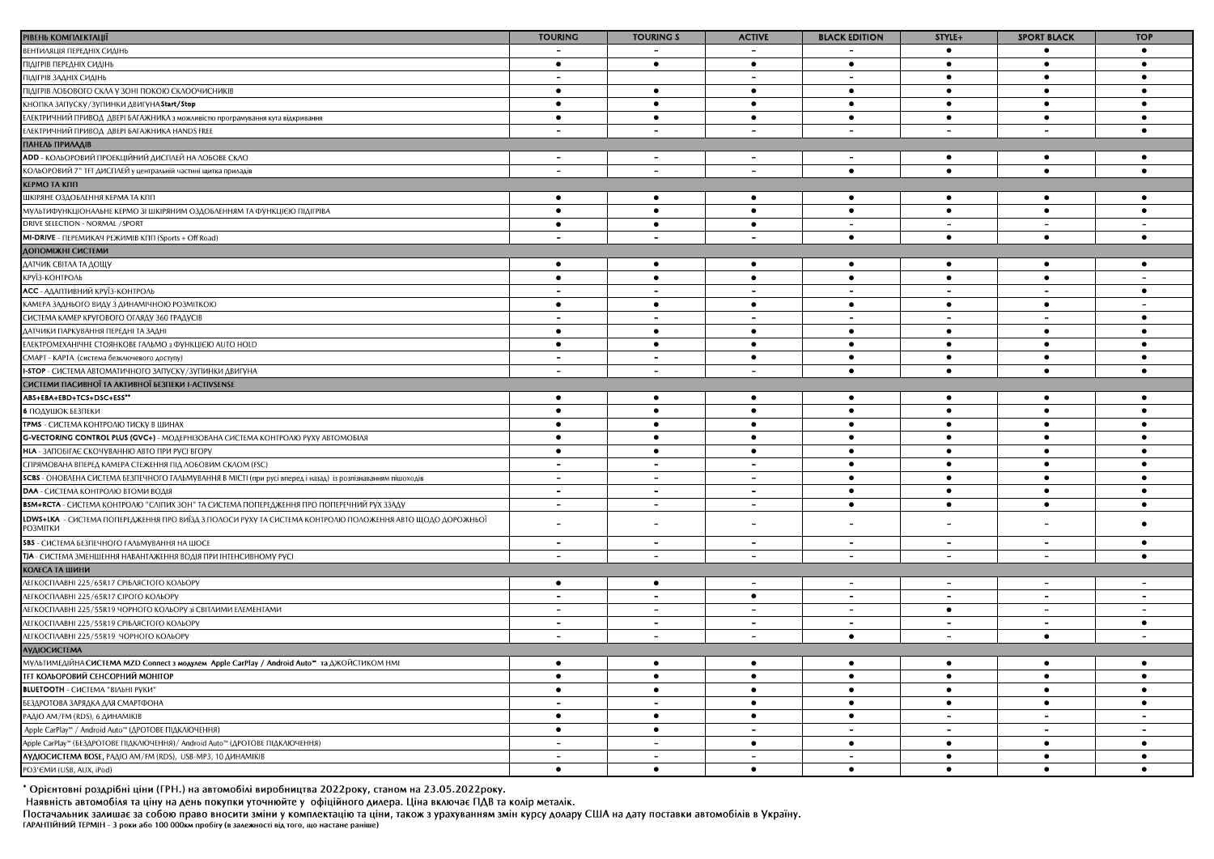| РІВЕНЬ КОМПЛЕКТАЦІЇ                                                                                                          | <b>TOURING</b>           | <b>TOURING S</b>         | <b>ACTIVE</b>            | <b>BLACK EDITION</b>     | STYLE+                   | <b>SPORT BLACK</b>       | <b>TOP</b>                   |
|------------------------------------------------------------------------------------------------------------------------------|--------------------------|--------------------------|--------------------------|--------------------------|--------------------------|--------------------------|------------------------------|
| ВЕНТИЛЯЦІЯ ПЕРЕДНІХ СИДІНЬ                                                                                                   | $\overline{\phantom{a}}$ |                          | $\overline{\phantom{a}}$ |                          | $\bullet$                | ٠                        | $\bullet$                    |
| ПІДІГРІВ ПЕРЕДНІХ СИДІНЕ                                                                                                     | $\bullet$                | $\bullet$                | $\bullet$                | $\bullet$                | $\bullet$                | $\bullet$                | $\bullet$                    |
| ПІДІГРІВ ЗАДНІХ СИДІНЬ                                                                                                       | $\overline{\phantom{0}}$ |                          | $\overline{\phantom{0}}$ | $\overline{\phantom{a}}$ | $\bullet$                | $\bullet$                | $\bullet$                    |
| ПІДІГРІВ ЛОБОВОГО СКЛА У ЗОНІ ПОКОЮ СКЛООЧИСНИКІВ                                                                            | $\bullet$                | $\bullet$                | $\bullet$                | $\bullet$                | $\bullet$                | $\bullet$                | $\bullet$                    |
| КНОПКА ЗАПУСКУ/ЗУПИНКИ ДВИГУНА Start/Stop                                                                                    | $\bullet$                | $\bullet$                | $\bullet$                | $\bullet$                | $\bullet$                | $\bullet$                | $\bullet$                    |
| ЕЛЕКТРИЧНИЙ ПРИВОД ДВЕРІ БАГАЖНИКА з можливістю програмування кута відкривання                                               | $\bullet$                | $\bullet$                | $\bullet$                | $\bullet$                | $\bullet$                | $\bullet$                | $\bullet$                    |
| ЕЛЕКТРИЧНИЙ ПРИВОД ДВЕРІ БАГАЖНИКА HANDS FREE                                                                                |                          |                          |                          |                          |                          |                          | $\bullet$                    |
| ПАНЕЛЬ ПРИЛАДІВ                                                                                                              |                          |                          |                          |                          |                          |                          |                              |
| <b>ADD</b> - КОЛЬОРОВИЙ ПРОЕКЦІЙНИЙ ДИСПЛЕЙ НА ЛОБОВЕ СКЛО                                                                   | $\overline{\phantom{a}}$ | $\overline{\phantom{a}}$ | $\overline{\phantom{0}}$ | $\overline{\phantom{a}}$ | $\bullet$                | $\bullet$                | $\bullet$                    |
| КОЛЬОРОВИЙ 7" ТЕТ ДИСПЛЕЙ у центральній частині щитка приладів                                                               | $\overline{\phantom{a}}$ |                          | $\overline{\phantom{0}}$ | $\bullet$                | $\bullet$                | $\bullet$                | $\bullet$                    |
| <b>КЕРМО ТА КПП</b>                                                                                                          |                          |                          |                          |                          |                          |                          |                              |
| ШКІРЯНЕ ОЗДОБЛЕННЯ КЕРМА ТА КПП                                                                                              | $\bullet$                | $\bullet$                | $\bullet$                | $\bullet$                | $\bullet$                | $\bullet$                | $\bullet$                    |
| МУЛЬТИФУНКЦІОНАЛЬНЕ КЕРМО ЗІ ШКІРЯНИМ ОЗДОБЛЕННЯМ ТА ФУНКЦІЄЮ ПІДІГРІВА                                                      | $\bullet$                | $\bullet$                | $\bullet$                | $\bullet$                | $\bullet$                | $\bullet$                | $\bullet$                    |
| DRIVE SELECTION - NORMAL / SPORT                                                                                             | $\bullet$                | $\bullet$                | $\bullet$                | $\sim$                   | $\sim$                   | $\overline{a}$           |                              |
| <b>MI-DRIVE</b> - ПЕРЕМИКАЧ РЕЖИМІВ КПП (Sports + Off Road)                                                                  | $\sim$                   | $\blacksquare$           | $\overline{\phantom{a}}$ | $\bullet$                | $\bullet$                | $\bullet$                | $\bullet$                    |
| <b>ДОПОМІЖНІ СИСТЕМИ</b>                                                                                                     |                          |                          |                          |                          |                          |                          |                              |
| ДАТЧИК СВІТЛА ТА ДОЩУ                                                                                                        | $\bullet$                | $\bullet$                | $\bullet$                | $\bullet$                | $\bullet$                | ٠                        | $\bullet$                    |
| КРУЇЗ-КОНТРОЛЬ                                                                                                               | $\bullet$                | $\bullet$                | $\bullet$                | $\bullet$                | $\bullet$                | $\bullet$                | $\blacksquare$               |
| АСС - АДАПТИВНИЙ КРУЇЗ-КОНТРОЛЬ                                                                                              | $\overline{a}$           | $\overline{\phantom{0}}$ | $\overline{\phantom{a}}$ | $\overline{\phantom{0}}$ | $\overline{\phantom{0}}$ | $\overline{a}$           | $\bullet$                    |
| КАМЕРА ЗАДНЬОГО ВИДУ З ДИНАМІЧНОЮ РОЗМІТКОЮ                                                                                  | $\bullet$                | $\bullet$                | $\bullet$                | $\bullet$                | $\bullet$                | $\bullet$                |                              |
| СИСТЕМА КАМЕР КРУГОВОГО ОГЛЯДУ 360 ГРАДУСІВ                                                                                  | $\overline{\phantom{a}}$ |                          | $\overline{\phantom{a}}$ |                          | $\overline{\phantom{a}}$ | $\blacksquare$           | $\bullet$                    |
| ДАТЧИКИ ПАРКУВАННЯ ПЕРЕДНІ ТА ЗАДНІ                                                                                          | $\bullet$                | $\bullet$                | $\bullet$                | $\bullet$                | $\bullet$                | $\bullet$                | $\bullet$                    |
| ЕЛЕКТРОМЕХАНІЧНЕ СТОЯНКОВЕ ГАЛЬМО з ФУНКЦІЄЮ AUTO HOLD                                                                       | $\bullet$                | $\bullet$                | $\bullet$                | $\bullet$                | $\bullet$                | $\bullet$                | $\bullet$                    |
| СМАРТ - КАРТА (система безключевого доступу)                                                                                 | $\overline{\phantom{0}}$ | $\overline{\phantom{0}}$ | $\bullet$                | $\bullet$                | $\bullet$                | $\bullet$                | $\bullet$                    |
| <b>I-STOP</b> - СИСТЕМА АВТОМАТИЧНОГО ЗАПУСКУ/ЗУПИНКИ ДВИГУНА                                                                | $\overline{a}$           | $\overline{\phantom{a}}$ | $\overline{\phantom{0}}$ | $\bullet$                | $\bullet$                | $\bullet$                | $\bullet$                    |
| СИСТЕМИ ПАСИВНОЇ ТА АКТИВНОЇ БЕЗПЕКИ I-ACTIVSENSE                                                                            |                          |                          |                          |                          |                          |                          |                              |
| ABS+EBA+EBD+TCS+DSC+ESS**                                                                                                    | $\bullet$                | $\bullet$                | $\bullet$                | $\bullet$                | $\bullet$                | $\bullet$                | $\bullet$                    |
| 6 ПОДУШОК БЕЗПЕКИ                                                                                                            | $\bullet$                | $\bullet$                | $\bullet$                | $\bullet$                | $\bullet$                | $\bullet$                | $\bullet$                    |
| <b>TPMS</b> - СИСТЕМА КОНТРОЛЮ ТИСКУ В ШИНАХ                                                                                 | $\bullet$                | $\bullet$                | $\bullet$                | $\bullet$                | $\bullet$                | $\bullet$                | $\bullet$                    |
| <b>G-VECTORING CONTROL PLUS (GVC+)</b> - MOAEPHI3OBAHA CUCTEMA KOHTPOAIO PYXY ABTOMOBIAS                                     | $\bullet$                | $\bullet$                | $\bullet$                | $\bullet$                | $\bullet$                | $\bullet$                | $\bullet$                    |
| НІА - ЗАПОБІГАЄ СКОЧУВАННЮ АВТО ПРИ РУСІ ВГОРУ                                                                               | $\bullet$                | $\bullet$                | $\bullet$                | $\bullet$                | $\bullet$                | $\bullet$                | $\bullet$                    |
| СПРЯМОВАНА ВПЕРЕД КАМЕРА СТЕЖЕННЯ ПІД ЛОБОВИМ СКЛОМ (FSC)                                                                    | $\blacksquare$           | $\overline{\phantom{a}}$ | $\overline{\phantom{a}}$ | $\bullet$                | $\bullet$                | $\bullet$                | $\bullet$                    |
| SCBS - ОНОВЛЕНА СИСТЕМА БЕЗПЕЧНОГО ГАЛЬМУВАННЯ В МІСТІ (при русі вперед і назад) із розпізнаванням пішоходів                 | $\overline{a}$           | $\overline{\phantom{a}}$ | $\overline{\phantom{a}}$ | $\bullet$                | $\bullet$                | $\bullet$                | $\bullet$                    |
| <b>DAA</b> - СИСТЕМА КОНТРОЛЮ ВТОМИ ВОДІЯ                                                                                    | $\overline{\phantom{a}}$ |                          | $\overline{\phantom{a}}$ | $\bullet$                | $\bullet$                | $\bullet$                | $\bullet$                    |
| <b>BSM+RCTA</b> - СИСТЕМА КОНТРОЛЮ "СЛІПИХ ЗОН" ТА СИСТЕМА ПОПЕРЕДЖЕННЯ ПРО ПОПЕРЕЧНИЙ РУХ ЗЗАДУ                             | $\sim$                   | $\overline{\phantom{0}}$ | $\overline{\phantom{a}}$ | $\bullet$                | $\bullet$                | $\bullet$                | $\bullet$                    |
|                                                                                                                              |                          |                          |                          |                          |                          |                          |                              |
| LDWS+LKA - СИСТЕМА ПОПЕРЕДЖЕННЯ ПРО ВИЇЗД З ПОЛОСИ РУХУ ТА СИСТЕМА КОНТРОЛЮ ПОЛОЖЕННЯ АВТО ЩОДО ДОРОЖНЬОЇ<br><b>РОЗМІТКИ</b> | $\overline{\phantom{a}}$ |                          |                          |                          |                          | $\overline{\phantom{a}}$ | $\bullet$                    |
| <b>SBS</b> - СИСТЕМА БЕЗПЕЧНОГО ГАЛЬМУВАННЯ НА ШОСЕ                                                                          | $\sim$                   | $\blacksquare$           | $\blacksquare$           | $\overline{\phantom{a}}$ | $\overline{a}$           | $\overline{\phantom{a}}$ | $\bullet$                    |
| ТІА - СИСТЕМА ЗМЕНШЕННЯ НАВАНТАЖЕННЯ ВОДІЯ ПРИ ІНТЕНСИВНОМУ РУСІ                                                             | $\overline{\phantom{a}}$ | $\overline{\phantom{a}}$ | $\sim$                   | $\overline{\phantom{a}}$ | $\overline{\phantom{a}}$ | $\overline{\phantom{a}}$ | $\bullet$                    |
| <b>КОЛЕСА ТА ШИНИ</b>                                                                                                        |                          |                          |                          |                          |                          |                          |                              |
| ЛЕГКОСПЛАВНІ 225/65R17 СРІБЛЯСТОГО КОЛЬОРУ                                                                                   | $\bullet$                | $\bullet$                | $\blacksquare$           | $\blacksquare$           | $\blacksquare$           | $\sim$                   | $\blacksquare$               |
| <b>ЛЕГКОСПЛАВНІ 225/65R17 СІРОГО КОЛЬОРУ</b>                                                                                 | $\overline{\phantom{0}}$ | $\overline{\phantom{a}}$ | $\bullet$                | $\overline{\phantom{a}}$ | $\overline{\phantom{a}}$ | $\,$                     | $\overline{\phantom{a}}$     |
| ЛЕГКОСПЛАВНІ 225/55R19 ЧОРНОГО КОЛЬОРУ зі СВІТЛИМИ ЕЛЕМЕНТАМИ                                                                | $\,$ $\,$                | $\overline{\phantom{0}}$ | $\sim$                   | $\overline{\phantom{0}}$ | $\bullet$                | $\blacksquare$           | $\qquad \qquad \blacksquare$ |
| ЛЕГКОСПЛАВНІ 225/55R19 СРІБЛЯСТОГО КОЛЬОРУ                                                                                   | $\blacksquare$           |                          | $\overline{\phantom{0}}$ |                          |                          | $\blacksquare$           | $\bullet$                    |
| ЛЕГКОСПЛАВНІ 225/55R19 ЧОРНОГО КОЛЬОРУ                                                                                       | $\overline{\phantom{a}}$ | $\overline{a}$           | $\overline{\phantom{a}}$ | $\bullet$                | $\overline{a}$           | $\bullet$                |                              |
| <b>АУДІОСИСТЕМА</b>                                                                                                          |                          |                          |                          |                          |                          |                          |                              |
| МУЛЬТИМЕДІЙНА СИСТЕМА MZD Connect з модулем Apple CarPlay / Android Auto™ та ДЖОЙСТИКОМ НМІ                                  | $\bullet$                | $\bullet$                | $\bullet$                | $\bullet$                | $\bullet$                | $\bullet$                | $\bullet$                    |
| <b>ТЕТ КОЛЬОРОВИЙ СЕНСОРНИЙ МОНІТОР</b>                                                                                      | $\bullet$                | $\bullet$                | $\bullet$                | $\bullet$                | $\bullet$                | $\bullet$                | $\bullet$                    |
| <b>BLUETOOTH</b> - СИСТЕМА "ВІЛЬНІ РУКИ"                                                                                     | $\bullet$                | $\bullet$                | $\bullet$                | $\bullet$                | $\bullet$                | $\bullet$                | $\bullet$                    |
| БЕЗДРОТОВА ЗАРЯДКА ДЛЯ СМАРТФОНА                                                                                             | $\blacksquare$           | $\overline{\phantom{a}}$ | $\bullet$                | $\bullet$                | $\bullet$                | $\bullet$                | $\bullet$                    |
| РАДІО АМ/FM (RDS), 6 ДИНАМІКІВ                                                                                               | $\bullet$                | $\bullet$                | $\bullet$                | $\bullet$                |                          |                          |                              |
| Apple CarPlay™ / Android Auto™ (ДРОТОВЕ ПІДКЛЮЧЕННЯ)                                                                         | $\bullet$                | $\bullet$                | $\overline{\phantom{a}}$ | $\sim$                   | $\overline{\phantom{a}}$ | $\blacksquare$           | $\blacksquare$               |
| Apple CarPlay™ (БЕЗДРОТОВЕ ПІДКЛЮЧЕННЯ) / Android Auto™ (ДРОТОВЕ ПІДКЛЮЧЕННЯ)                                                | $\overline{\phantom{a}}$ | $\overline{\phantom{a}}$ | $\bullet$                | $\bullet$                | $\bullet$                | $\bullet$                | $\bullet$                    |
| АУДІОСИСТЕМА BOSE, РАДІО АМ/FM (RDS), USB-MP3, 10 ДИНАМІКІВ                                                                  | $\sim$                   |                          |                          | $\overline{\phantom{0}}$ | $\bullet$                | $\bullet$                | $\bullet$                    |
| РОЗ'ЄМИ (USB, AUX, iPod)                                                                                                     | $\bullet$                | $\bullet$                | $\bullet$                | $\bullet$                | $\bullet$                | $\bullet$                |                              |

-<br>\* Орієнтовні роздрібні ціни (ГРН.) на автомобілі виробництва 2022року, станом на 23.05.2022року.<br>Наявність автомобіля та ціну на день покупки уточнюйте у офіційного дилера. Ціна включає ПДВ та колір металік.<br>Постачальни